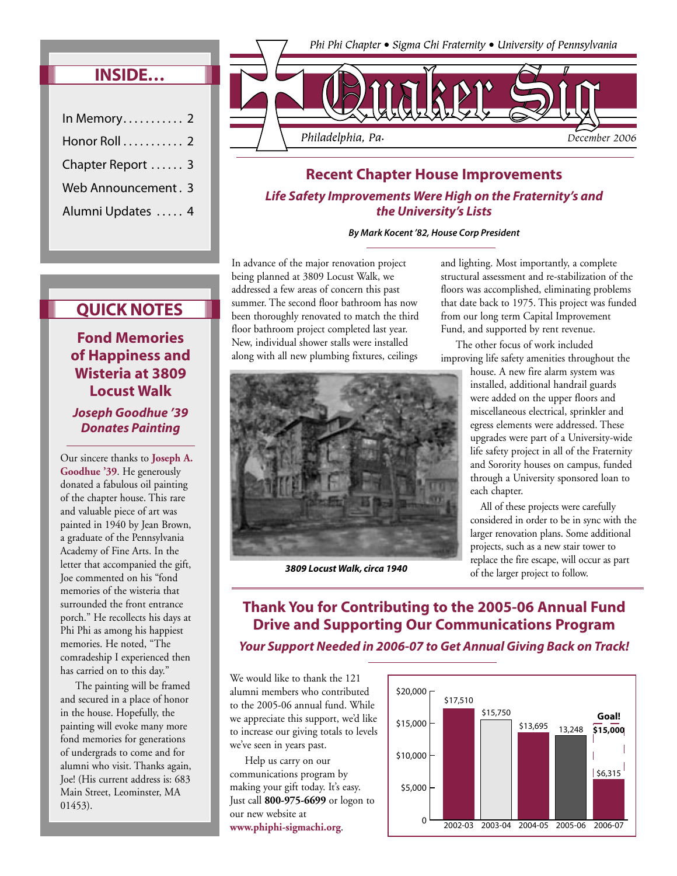## **INSIDE…**

| In Memory $2$       |  |
|---------------------|--|
| Honor Roll 2        |  |
| Chapter Report  3   |  |
| Web Announcement. 3 |  |
| Alumni Updates  4   |  |



## **Recent Chapter House Improvements Life Safety Improvements Were High on the Fraternity's and the University's Lists**

**By Mark Kocent '82, House Corp President**

In advance of the major renovation project being planned at 3809 Locust Walk, we addressed a few areas of concern this past summer. The second floor bathroom has now been thoroughly renovated to match the third floor bathroom project completed last year. New, individual shower stalls were installed along with all new plumbing fixtures, ceilings



*3809 Locust Walk, circa 1940* 

and lighting. Most importantly, a complete structural assessment and re-stabilization of the floors was accomplished, eliminating problems that date back to 1975. This project was funded from our long term Capital Improvement Fund, and supported by rent revenue.

 The other focus of work included improving life safety amenities throughout the

> house. A new fire alarm system was installed, additional handrail guards were added on the upper floors and miscellaneous electrical, sprinkler and egress elements were addressed. These upgrades were part of a University-wide life safety project in all of the Fraternity and Sorority houses on campus, funded through a University sponsored loan to each chapter.

 All of these projects were carefully considered in order to be in sync with the larger renovation plans. Some additional projects, such as a new stair tower to replace the fire escape, will occur as part of the larger project to follow.

## **QUICK NOTES**

**Fond Memories of Happiness and Wisteria at 3809 Locust Walk Joseph Goodhue '39 Donates Painting**

Our sincere thanks to **Joseph A. Goodhue '39**. He generously donated a fabulous oil painting of the chapter house. This rare and valuable piece of art was painted in 1940 by Jean Brown, a graduate of the Pennsylvania Academy of Fine Arts. In the letter that accompanied the gift, Joe commented on his "fond memories of the wisteria that surrounded the front entrance porch." He recollects his days at Phi Phi as among his happiest memories. He noted, "The comradeship I experienced then has carried on to this day."

 The painting will be framed and secured in a place of honor in the house. Hopefully, the painting will evoke many more fond memories for generations of undergrads to come and for alumni who visit. Thanks again, Joe! (His current address is: 683 Main Street, Leominster, MA 01453).

**Thank You for Contributing to the 2005-06 Annual Fund Drive and Supporting Our Communications Program Your Support Needed in 2006-07 to Get Annual Giving Back on Track!**

We would like to thank the 121 alumni members who contributed to the 2005-06 annual fund. While we appreciate this support, we'd like to increase our giving totals to levels we've seen in years past.

 Help us carry on our communications program by making your gift today. It's easy. Just call **800-975-6699** or logon to our new website at **www.phiphi-sigmachi.org**.

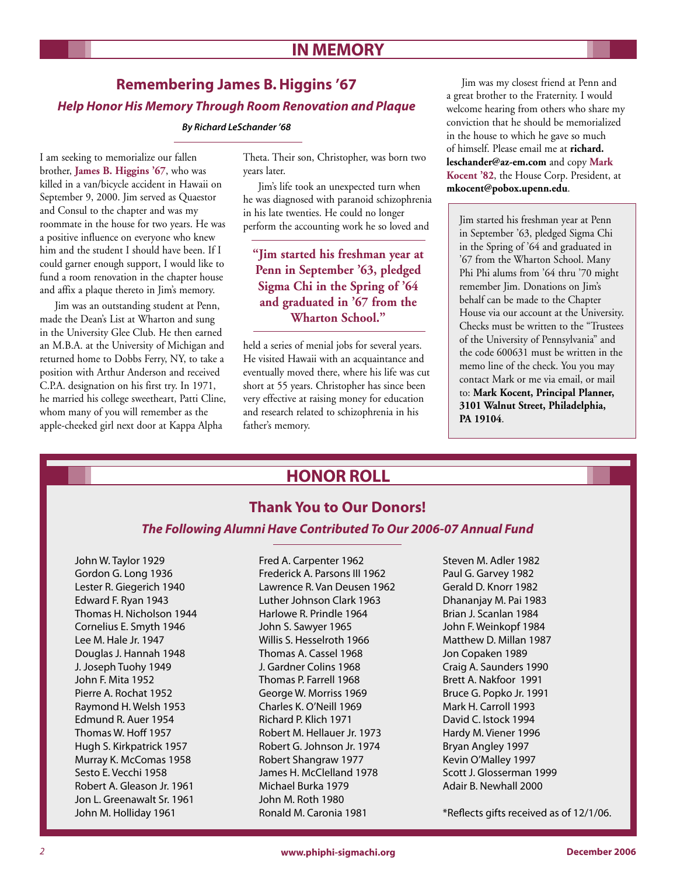## **IN MEMORY**

# **Remembering James B. Higgins '67 Help Honor His Memory Through Room Renovation and Plaque**

**By Richard LeSchander '68**

I am seeking to memorialize our fallen brother, **James B. Higgins '67**, who was killed in a van/bicycle accident in Hawaii on September 9, 2000. Jim served as Quaestor and Consul to the chapter and was my roommate in the house for two years. He was a positive influence on everyone who knew him and the student I should have been. If I could garner enough support, I would like to fund a room renovation in the chapter house and affix a plaque thereto in Jim's memory.

 Jim was an outstanding student at Penn, made the Dean's List at Wharton and sung in the University Glee Club. He then earned an M.B.A. at the University of Michigan and returned home to Dobbs Ferry, NY, to take a position with Arthur Anderson and received C.P.A. designation on his first try. In 1971, he married his college sweetheart, Patti Cline, whom many of you will remember as the apple-cheeked girl next door at Kappa Alpha

Theta. Their son, Christopher, was born two years later.

 Jim's life took an unexpected turn when he was diagnosed with paranoid schizophrenia in his late twenties. He could no longer perform the accounting work he so loved and

## **"Jim started his freshman year at Penn in September '63, pledged Sigma Chi in the Spring of '64 and graduated in '67 from the Wharton School."**

held a series of menial jobs for several years. He visited Hawaii with an acquaintance and eventually moved there, where his life was cut short at 55 years. Christopher has since been very effective at raising money for education and research related to schizophrenia in his father's memory.

 Jim was my closest friend at Penn and a great brother to the Fraternity. I would welcome hearing from others who share my conviction that he should be memorialized in the house to which he gave so much of himself. Please email me at **richard. leschander@az-em.com** and copy **Mark Kocent '82**, the House Corp. President, at **mkocent@pobox.upenn.edu**.

Jim started his freshman year at Penn in September '63, pledged Sigma Chi in the Spring of '64 and graduated in '67 from the Wharton School. Many Phi Phi alums from '64 thru '70 might remember Jim. Donations on Jim's behalf can be made to the Chapter House via our account at the University. Checks must be written to the "Trustees of the University of Pennsylvania" and the code 600631 must be written in the memo line of the check. You you may contact Mark or me via email, or mail to: **Mark Kocent, Principal Planner, 3101 Walnut Street, Philadelphia, PA 19104**.

# **HONOR ROLL**

## **Thank You to Our Donors!**

#### **The Following Alumni Have Contributed To Our 2006-07 Annual Fund**

John W. Taylor 1929 Gordon G. Long 1936 Lester R. Giegerich 1940 Edward F. Ryan 1943 Thomas H. Nicholson 1944 Cornelius E. Smyth 1946 Lee M. Hale Jr. 1947 Douglas J. Hannah 1948 J. Joseph Tuohy 1949 John F. Mita 1952 Pierre A. Rochat 1952 Raymond H. Welsh 1953 Edmund R. Auer 1954 Thomas W. Hoff 1957 Hugh S. Kirkpatrick 1957 Murray K. McComas 1958 Sesto E. Vecchi 1958 Robert A. Gleason Jr. 1961 Jon L. Greenawalt Sr. 1961 John M. Holliday 1961

Fred A. Carpenter 1962 Frederick A. Parsons III 1962 Lawrence R. Van Deusen 1962 Luther Johnson Clark 1963 Harlowe R. Prindle 1964 John S. Sawyer 1965 Willis S. Hesselroth 1966 Thomas A. Cassel 1968 J. Gardner Colins 1968 Thomas P. Farrell 1968 George W. Morriss 1969 Charles K. O'Neill 1969 Richard P. Klich 1971 Robert M. Hellauer Jr. 1973 Robert G. Johnson Jr. 1974 Robert Shangraw 1977 James H. McClelland 1978 Michael Burka 1979 John M. Roth 1980 Ronald M. Caronia 1981

Steven M. Adler 1982 Paul G. Garvey 1982 Gerald D. Knorr 1982 Dhananjay M. Pai 1983 Brian J. Scanlan 1984 John F. Weinkopf 1984 Matthew D. Millan 1987 Jon Copaken 1989 Craig A. Saunders 1990 Brett A. Nakfoor 1991 Bruce G. Popko Jr. 1991 Mark H. Carroll 1993 David C. Istock 1994 Hardy M. Viener 1996 Bryan Angley 1997 Kevin O'Malley 1997 Scott J. Glosserman 1999 Adair B. Newhall 2000

\*Reflects gifts received as of 12/1/06.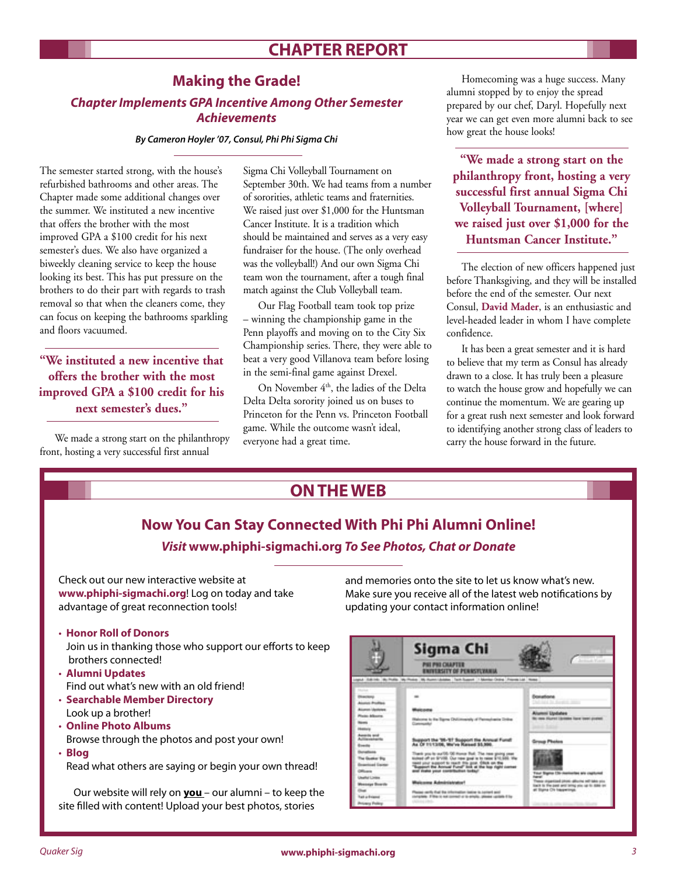# **CHAPTER REPORT**

## **Making the Grade!**

## **Chapter Implements GPA Incentive Among Other Semester Achievements**

**By Cameron Hoyler '07, Consul, Phi Phi Sigma Chi**

The semester started strong, with the house's refurbished bathrooms and other areas. The Chapter made some additional changes over the summer. We instituted a new incentive that offers the brother with the most improved GPA a \$100 credit for his next semester's dues. We also have organized a biweekly cleaning service to keep the house looking its best. This has put pressure on the brothers to do their part with regards to trash removal so that when the cleaners come, they can focus on keeping the bathrooms sparkling and floors vacuumed.

**"We instituted a new incentive that offers the brother with the most improved GPA a \$100 credit for his next semester's dues."**

 We made a strong start on the philanthropy front, hosting a very successful first annual

Sigma Chi Volleyball Tournament on September 30th. We had teams from a number of sororities, athletic teams and fraternities. We raised just over \$1,000 for the Huntsman Cancer Institute. It is a tradition which should be maintained and serves as a very easy fundraiser for the house. (The only overhead was the volleyball!) And our own Sigma Chi team won the tournament, after a tough final match against the Club Volleyball team.

 Our Flag Football team took top prize – winning the championship game in the Penn playoffs and moving on to the City Six Championship series. There, they were able to beat a very good Villanova team before losing in the semi-final game against Drexel.

On November 4<sup>th</sup>, the ladies of the Delta Delta Delta sorority joined us on buses to Princeton for the Penn vs. Princeton Football game. While the outcome wasn't ideal, everyone had a great time.

 Homecoming was a huge success. Many alumni stopped by to enjoy the spread prepared by our chef, Daryl. Hopefully next year we can get even more alumni back to see how great the house looks!

**"We made a strong start on the philanthropy front, hosting a very successful first annual Sigma Chi Volleyball Tournament, [where] we raised just over \$1,000 for the Huntsman Cancer Institute."**

 The election of new officers happened just before Thanksgiving, and they will be installed before the end of the semester. Our next Consul, **David Mader**, is an enthusiastic and level-headed leader in whom I have complete confidence.

 It has been a great semester and it is hard to believe that my term as Consul has already drawn to a close. It has truly been a pleasure to watch the house grow and hopefully we can continue the momentum. We are gearing up for a great rush next semester and look forward to identifying another strong class of leaders to carry the house forward in the future.